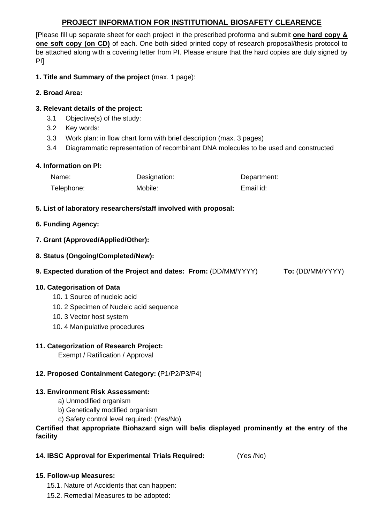# **PROJECT INFORMATION FOR INSTITUTIONAL BIOSAFETY CLEARENCE**

[Please fill up separate sheet for each project in the prescribed proforma and submit **one hard copy & one soft copy (on CD)** of each. One both-sided printed copy of research proposal/thesis protocol to be attached along with a covering letter from PI. Please ensure that the hard copies are duly signed by PI]

**1. Title and Summary of the project** (max. 1 page):

# **2. Broad Area:**

## **3. Relevant details of the project:**

- 3.1 Objective(s) of the study:
- 3.2 Key words:
- 3.3 Work plan: in flow chart form with brief description (max. 3 pages)
- 3.4 Diagrammatic representation of recombinant DNA molecules to be used and constructed

## **4. Information on Pl:**

| Name:      | Designation: | Department: |
|------------|--------------|-------------|
| Telephone: | Mobile:      | Email id:   |

## **5. List of laboratory researchers/staff involved with proposal:**

## **6. Funding Agency:**

## **7. Grant (Approved/Applied/Other):**

**8. Status (Ongoing/Completed/New):** 

**9. Expected duration of the Project and dates: From:** (DD/MM/YYYY) **To:** (DD/MM/YYYY)

## **10. Categorisation of Data**

- 10. 1 Source of nucleic acid
- 10. 2 Specimen of Nucleic acid sequence
- 10. 3 Vector host system
- 10. 4 Manipulative procedures

# **11. Categorization of Research Project:**

Exempt / Ratification / Approval

# **12. Proposed Containment Category: (**P1/P2/P3/P4)

## **13. Environment Risk Assessment:**

- a) Unmodified organism
- b) Genetically modified organism
- c) Safety control level required: (Yes/No)

## **Certified that appropriate Biohazard sign will be/is displayed prominently at the entry of the facility**

**14. IBSC Approval for Experimental Trials Required:** (Yes /No)

## **15. Follow-up Measures:**

- 15.1. Nature of Accidents that can happen:
- 15.2. Remedial Measures to be adopted: